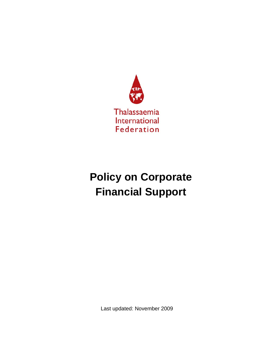

# **Policy on Corporate Financial Support**

Last updated: November 2009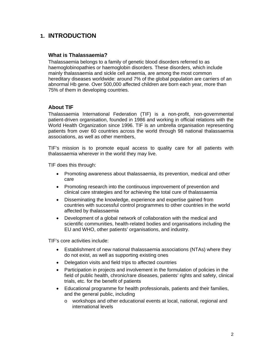### **1. INTRODUCTION**

### **What is Thalassaemia?**

Thalassaemia belongs to a family of genetic blood disorders referred to as haemoglobinopathies or haemoglobin disorders. These disorders, which include mainly thalassaemia and sickle cell anaemia, are among the most common hereditary diseases worldwide: around 7% of the global population are carriers of an abnormal Hb gene. Over 500,000 affected children are born each year, more than 75% of them in developing countries.

### **About TIF**

Thalassaemia International Federation (TIF) is a non-profit, non-governmental patient-driven organisation, founded in 1986 and working in official relations with the World Health Organization since 1996. TIF is an umbrella organisation representing patients from over 60 countries across the world through 98 national thalassaemia associations, as well as other members,

TIF's mission is to promote equal access to quality care for all patients with thalassaemia wherever in the world they may live.

TIF does this through:

- Promoting awareness about thalassaemia, its prevention, medical and other care
- Promoting research into the continuous improvement of prevention and clinical care strategies and for achieving the total cure of thalassaemia
- Disseminating the knowledge, experience and expertise gained from countries with successful control programmes to other countries in the world affected by thalassaemia
- Development of a global network of collaboration with the medical and scientific communities, health-related bodies and organisations including the EU and WHO, other patients' organisations, and industry.

TIF's core activities include:

- Establishment of new national thalassaemia associations (NTAs) where they do not exist, as well as supporting existing ones
- Delegation visits and field trips to affected countries
- Participation in projects and involvement in the formulation of policies in the field of public health, chronic/rare diseases, patients' rights and safety, clinical trials, etc. for the benefit of patients
- Educational programme for health professionals, patients and their families, and the general public, including
	- o workshops and other educational events at local, national, regional and international levels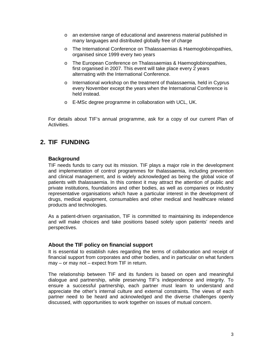- o an extensive range of educational and awareness material published in many languages and distributed globally free of charge
- o The International Conference on Thalassaemias & Haemoglobinopathies, organised since 1999 every two years
- o The European Conference on Thalassaemias & Haemoglobinopathies, first organised in 2007. This event will take place every 2 years alternating with the International Conference.
- o International workshop on the treatment of thalassaemia, held in Cyprus every November except the years when the International Conference is held instead.
- o E-MSc degree programme in collaboration with UCL, UK.

For details about TIF's annual programme, ask for a copy of our current Plan of Activities.

# **2. TIF FUNDING**

### **Background**

TIF needs funds to carry out its mission. TIF plays a major role in the development and implementation of control programmes for thalassaemia, including prevention and clinical management, and is widely acknowledged as being the global voice of patients with thalassaemia. In this context it may attract the attention of public and private institutions, foundations and other bodies, as well as companies or industry representative organisations which have a particular interest in the development of drugs, medical equipment, consumables and other medical and healthcare related products and technologies.

As a patient-driven organisation, TIF is committed to maintaining its independence and will make choices and take positions based solely upon patients' needs and perspectives.

### **About the TIF policy on financial support**

It is essential to establish rules regarding the terms of collaboration and receipt of financial support from corporates and other bodies, and in particular on what funders may – or may not – expect from TIF in return.

The relationship between TIF and its funders is based on open and meaningful dialogue and partnership, while preserving TIF's independence and integrity. To ensure a successful partnership, each partner must learn to understand and appreciate the other's internal culture and external constraints. The views of each partner need to be heard and acknowledged and the diverse challenges openly discussed, with opportunities to work together on issues of mutual concern.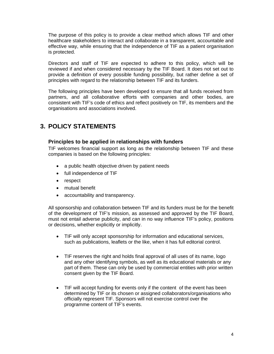The purpose of this policy is to provide a clear method which allows TIF and other healthcare stakeholders to interact and collaborate in a transparent, accountable and effective way, while ensuring that the independence of TIF as a patient organisation is protected.

Directors and staff of TIF are expected to adhere to this policy, which will be reviewed if and when considered necessary by the TIF Board. It does not set out to provide a definition of every possible funding possibility, but rather define a set of principles with regard to the relationship between TIF and its funders.

The following principles have been developed to ensure that all funds received from partners, and all collaborative efforts with companies and other bodies, are consistent with TIF's code of ethics and reflect positively on TIF, its members and the organisations and associations involved.

# **3. POLICY STATEMENTS**

### **Principles to be applied in relationships with funders**

TIF welcomes financial support as long as the relationship between TIF and these companies is based on the following principles:

- a public health objective driven by patient needs
- full independence of TIF
- respect
- mutual benefit
- accountability and transparency.

All sponsorship and collaboration between TIF and its funders must be for the benefit of the development of TIF's mission, as assessed and approved by the TIF Board, must not entail adverse publicity, and can in no way influence TIF's policy, positions or decisions, whether explicitly or implicitly.

- TIF will only accept sponsorship for information and educational services, such as publications, leaflets or the like, when it has full editorial control.
- TIF reserves the right and holds final approval of all uses of its name, logo and any other identifying symbols, as well as its educational materials or any part of them. These can only be used by commercial entities with prior written consent given by the TIF Board.
- TIF will accept funding for events only if the content of the event has been determined by TIF or its chosen or assigned collaborators/organisations who officially represent TIF. Sponsors will not exercise control over the programme content of TIF's events.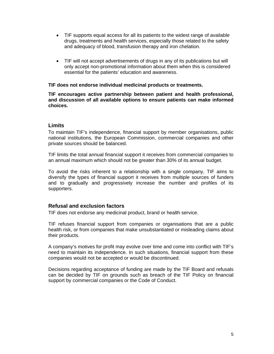- TIF supports equal access for all its patients to the widest range of available drugs, treatments and health services, especially those related to the safety and adequacy of blood, transfusion therapy and iron chelation.
- TIF will not accept advertisements of drugs in any of its publications but will only accept non-promotional information about them when this is considered essential for the patients' education and awareness.

#### **TIF does not endorse individual medicinal products or treatments.**

#### **TIF encourages active partnership between patient and health professional, and discussion of all available options to ensure patients can make informed choices.**

### **Limits**

To maintain TIF's independence, financial support by member organisations, public national institutions, the European Commission, commercial companies and other private sources should be balanced.

TIF limits the total annual financial support it receives from commercial companies to an annual maximum which should not be greater than 30% of its annual budget.

To avoid the risks inherent to a relationship with a single company, TIF aims to diversify the types of financial support it receives from multiple sources of funders and to gradually and progressively increase the number and profiles of its supporters.

### **Refusal and exclusion factors**

TIF does not endorse any medicinal product, brand or health service.

TIF refuses financial support from companies or organisations that are a public health risk, or from companies that make unsubstantiated or misleading claims about their products.

A company's motives for profit may evolve over time and come into conflict with TIF's need to maintain its independence. In such situations, financial support from these companies would not be accepted or would be discontinued.

Decisions regarding acceptance of funding are made by the TIF Board and refusals can be decided by TIF on grounds such as breach of the TIF Policy on financial support by commercial companies or the Code of Conduct.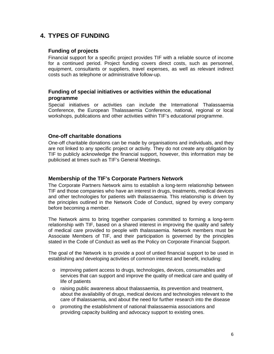# **4. TYPES OF FUNDING**

### **Funding of projects**

Financial support for a specific project provides TIF with a reliable source of income for a continued period. Project funding covers direct costs, such as personnel, equipment, consultants or suppliers, travel expenses, as well as relevant indirect costs such as telephone or administrative follow-up.

### **Funding of special initiatives or activities within the educational programme**

Special initiatives or activities can include the International Thalassaemia Conference, the European Thalassaemia Conference, national, regional or local workshops, publications and other activities within TIF's educational programme.

### **One-off charitable donations**

One-off charitable donations can be made by organisations and individuals, and they are not linked to any specific project or activity. They do not create any obligation by TIF to publicly acknowledge the financial support, however, this information may be publicised at times such as TIF's General Meetings.

### **Membership of the TIF's Corporate Partners Network**

The Corporate Partners Network aims to establish a long-term relationship between TIF and those companies who have an interest in drugs, treatments, medical devices and other technologies for patients with thalassaemia. This relationship is driven by the principles outlined in the Network Code of Conduct, signed by every company before becoming a member.

The Network aims to bring together companies committed to forming a long-term relationship with TIF, based on a shared interest in improving the quality and safety of medical care provided to people with thalassaemia. Network members must be Associate Members of TIF, and their participation is governed by the principles stated in the Code of Conduct as well as the Policy on Corporate Financial Support.

The goal of the Network is to provide a pool of untied financial support to be used in establishing and developing activities of common interest and benefit, including:

- o improving patient access to drugs, technologies, devices, consumables and services that can support and improve the quality of medical care and quality of life of patients
- $\circ$  raising public awareness about thalassaemia, its prevention and treatment, about the availability of drugs, medical devices and technologies relevant to the care of thalassaemia, and about the need for further research into the disease
- o promoting the establishment of national thalassaemia associations and providing capacity building and advocacy support to existing ones.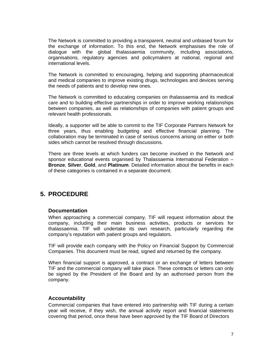The Network is committed to providing a transparent, neutral and unbiased forum for the exchange of information. To this end, the Network emphasises the role of dialogue with the global thalassaemia community, including associations, organisations, regulatory agencies and policymakers at national, regional and international levels.

The Network is committed to encouraging, helping and supporting pharmaceutical and medical companies to improve existing drugs, technologies and devices serving the needs of patients and to develop new ones.

The Network is committed to educating companies on thalassaemia and its medical care and to building effective partnerships in order to improve working relationships between companies, as well as relationships of companies with patient groups and relevant health professionals.

Ideally, a supporter will be able to commit to the TIF Corporate Partners Network for three years, thus enabling budgeting and effective financial planning. The collaboration may be terminated in case of serious concerns arising on either or both sides which cannot be resolved through discussions.

There are three levels at which funders can become involved in the Network and sponsor educational events organised by Thalassaemia International Federation – **Bronze**, **Silver**, **Gold**, and **Platinum**. Detailed information about the benefits in each of these categories is contained in a separate document.

### **5. PROCEDURE**

### **Documentation**

When approaching a commercial company, TIF will request information about the company, including their main business activities, products or services for thalassaemia. TIF will undertake its own research, particularly regarding the company's reputation with patient groups and regulators.

TIF will provide each company with the Policy on Financial Support by Commercial Companies. This document must be read, signed and returned by the company.

When financial support is approved, a contract or an exchange of letters between TIF and the commercial company will take place. These contracts or letters can only be signed by the President of the Board and by an authorised person from the company.

### **Accountability**

Commercial companies that have entered into partnership with TIF during a certain year will receive, if they wish, the annual activity report and financial statements covering that period, once these have been approved by the TIF Board of Directors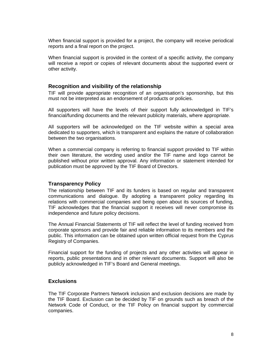When financial support is provided for a project, the company will receive periodical reports and a final report on the project.

When financial support is provided in the context of a specific activity, the company will receive a report or copies of relevant documents about the supported event or other activity.

#### **Recognition and visibility of the relationship**

TIF will provide appropriate recognition of an organisation's sponsorship, but this must not be interpreted as an endorsement of products or policies.

All supporters will have the levels of their support fully acknowledged in TIF's financial/funding documents and the relevant publicity materials, where appropriate.

All supporters will be acknowledged on the TIF website within a special area dedicated to supporters, which is transparent and explains the nature of collaboration between the two organisations.

When a commercial company is referring to financial support provided to TIF within their own literature, the wording used and/or the TIF name and logo cannot be published without prior written approval. Any information or statement intended for publication must be approved by the TIF Board of Directors.

#### **Transparency Policy**

The relationship between TIF and its funders is based on regular and transparent communications and dialogue. By adopting a transparent policy regarding its relations with commercial companies and being open about its sources of funding, TIF acknowledges that the financial support it receives will never compromise its independence and future policy decisions.

The Annual Financial Statements of TIF will reflect the level of funding received from corporate sponsors and provide fair and reliable information to its members and the public. This information can be obtained upon written official request from the Cyprus Registry of Companies.

Financial support for the funding of projects and any other activities will appear in reports, public presentations and in other relevant documents. Support will also be publicly acknowledged in TIF's Board and General meetings.

### **Exclusions**

The TIF Corporate Partners Network inclusion and exclusion decisions are made by the TIF Board. Exclusion can be decided by TIF on grounds such as breach of the Network Code of Conduct, or the TIF Policy on financial support by commercial companies.